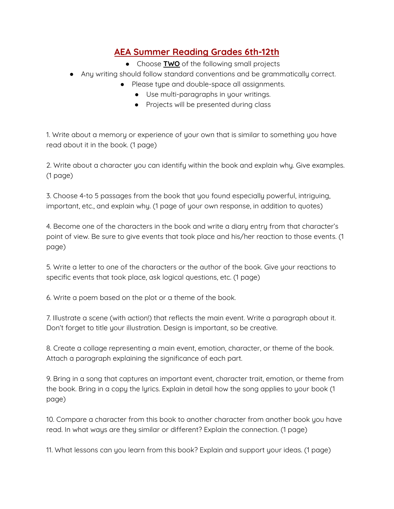## **AEA Summer Reading Grades 6th-12th**

- Choose **TWO** of the following small projects
- Any writing should follow standard conventions and be grammatically correct.
	- Please type and double-space all assignments.
		- Use multi-paragraphs in your writings.
		- Projects will be presented during class

1. Write about a memory or experience of your own that is similar to something you have read about it in the book. (1 page)

2. Write about a character you can identify within the book and explain why. Give examples. (1 page)

3. Choose 4-to 5 passages from the book that you found especially powerful, intriguing, important, etc., and explain why. (1 page of your own response, in addition to quotes)

4. Become one of the characters in the book and write a diary entry from that character's point of view. Be sure to give events that took place and his/her reaction to those events. (1 page)

5. Write a letter to one of the characters or the author of the book. Give your reactions to specific events that took place, ask logical questions, etc. (1 page)

6. Write a poem based on the plot or a theme of the book.

7. Illustrate a scene (with action!) that reflects the main event. Write a paragraph about it. Don't forget to title your illustration. Design is important, so be creative.

8. Create a collage representing a main event, emotion, character, or theme of the book. Attach a paragraph explaining the significance of each part.

9. Bring in a song that captures an important event, character trait, emotion, or theme from the book. Bring in a copy the lyrics. Explain in detail how the song applies to your book (1 page)

10. Compare a character from this book to another character from another book you have read. In what ways are they similar or different? Explain the connection. (1 page)

11. What lessons can you learn from this book? Explain and support your ideas. (1 page)